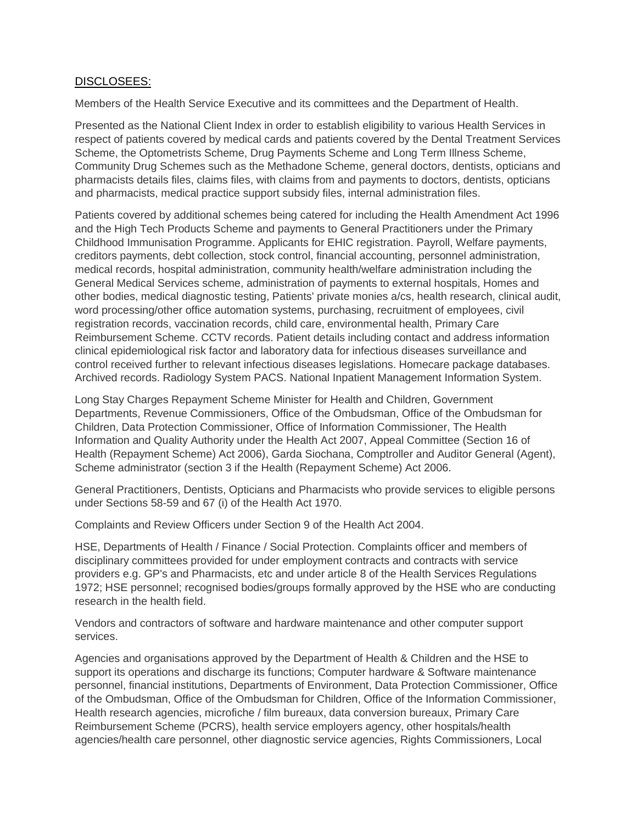## DISCLOSEES:

Members of the Health Service Executive and its committees and the Department of Health.

Presented as the National Client Index in order to establish eligibility to various Health Services in respect of patients covered by medical cards and patients covered by the Dental Treatment Services Scheme, the Optometrists Scheme, Drug Payments Scheme and Long Term Illness Scheme, Community Drug Schemes such as the Methadone Scheme, general doctors, dentists, opticians and pharmacists details files, claims files, with claims from and payments to doctors, dentists, opticians and pharmacists, medical practice support subsidy files, internal administration files.

Patients covered by additional schemes being catered for including the Health Amendment Act 1996 and the High Tech Products Scheme and payments to General Practitioners under the Primary Childhood Immunisation Programme. Applicants for EHIC registration. Payroll, Welfare payments, creditors payments, debt collection, stock control, financial accounting, personnel administration, medical records, hospital administration, community health/welfare administration including the General Medical Services scheme, administration of payments to external hospitals, Homes and other bodies, medical diagnostic testing, Patients' private monies a/cs, health research, clinical audit, word processing/other office automation systems, purchasing, recruitment of employees, civil registration records, vaccination records, child care, environmental health, Primary Care Reimbursement Scheme. CCTV records. Patient details including contact and address information clinical epidemiological risk factor and laboratory data for infectious diseases surveillance and control received further to relevant infectious diseases legislations. Homecare package databases. Archived records. Radiology System PACS. National Inpatient Management Information System.

Long Stay Charges Repayment Scheme Minister for Health and Children, Government Departments, Revenue Commissioners, Office of the Ombudsman, Office of the Ombudsman for Children, Data Protection Commissioner, Office of Information Commissioner, The Health Information and Quality Authority under the Health Act 2007, Appeal Committee (Section 16 of Health (Repayment Scheme) Act 2006), Garda Siochana, Comptroller and Auditor General (Agent), Scheme administrator (section 3 if the Health (Repayment Scheme) Act 2006.

General Practitioners, Dentists, Opticians and Pharmacists who provide services to eligible persons under Sections 58-59 and 67 (i) of the Health Act 1970.

Complaints and Review Officers under Section 9 of the Health Act 2004.

HSE, Departments of Health / Finance / Social Protection. Complaints officer and members of disciplinary committees provided for under employment contracts and contracts with service providers e.g. GP's and Pharmacists, etc and under article 8 of the Health Services Regulations 1972; HSE personnel; recognised bodies/groups formally approved by the HSE who are conducting research in the health field.

Vendors and contractors of software and hardware maintenance and other computer support services.

Agencies and organisations approved by the Department of Health & Children and the HSE to support its operations and discharge its functions; Computer hardware & Software maintenance personnel, financial institutions, Departments of Environment, Data Protection Commissioner, Office of the Ombudsman, Office of the Ombudsman for Children, Office of the Information Commissioner, Health research agencies, microfiche / film bureaux, data conversion bureaux, Primary Care Reimbursement Scheme (PCRS), health service employers agency, other hospitals/health agencies/health care personnel, other diagnostic service agencies, Rights Commissioners, Local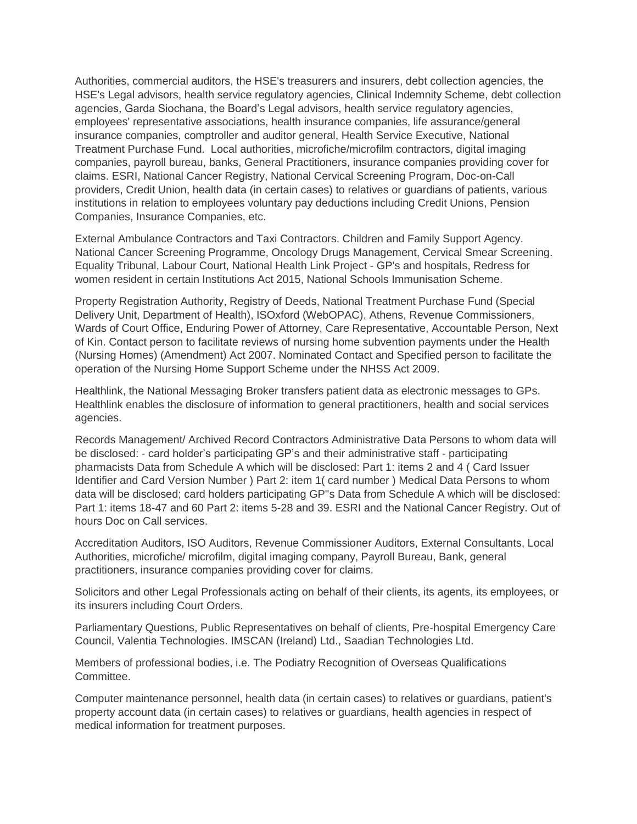Authorities, commercial auditors, the HSE's treasurers and insurers, debt collection agencies, the HSE's Legal advisors, health service regulatory agencies, Clinical Indemnity Scheme, debt collection agencies, Garda Siochana, the Board's Legal advisors, health service regulatory agencies, employees' representative associations, health insurance companies, life assurance/general insurance companies, comptroller and auditor general, Health Service Executive, National Treatment Purchase Fund. Local authorities, microfiche/microfilm contractors, digital imaging companies, payroll bureau, banks, General Practitioners, insurance companies providing cover for claims. ESRI, National Cancer Registry, National Cervical Screening Program, Doc-on-Call providers, Credit Union, health data (in certain cases) to relatives or guardians of patients, various institutions in relation to employees voluntary pay deductions including Credit Unions, Pension Companies, Insurance Companies, etc.

External Ambulance Contractors and Taxi Contractors. Children and Family Support Agency. National Cancer Screening Programme, Oncology Drugs Management, Cervical Smear Screening. Equality Tribunal, Labour Court, National Health Link Project - GP's and hospitals, Redress for women resident in certain Institutions Act 2015, National Schools Immunisation Scheme.

Property Registration Authority, Registry of Deeds, National Treatment Purchase Fund (Special Delivery Unit, Department of Health), ISOxford (WebOPAC), Athens, Revenue Commissioners, Wards of Court Office, Enduring Power of Attorney, Care Representative, Accountable Person, Next of Kin. Contact person to facilitate reviews of nursing home subvention payments under the Health (Nursing Homes) (Amendment) Act 2007. Nominated Contact and Specified person to facilitate the operation of the Nursing Home Support Scheme under the NHSS Act 2009.

Healthlink, the National Messaging Broker transfers patient data as electronic messages to GPs. Healthlink enables the disclosure of information to general practitioners, health and social services agencies.

Records Management/ Archived Record Contractors Administrative Data Persons to whom data will be disclosed: - card holder's participating GP's and their administrative staff - participating pharmacists Data from Schedule A which will be disclosed: Part 1: items 2 and 4 ( Card Issuer Identifier and Card Version Number ) Part 2: item 1( card number ) Medical Data Persons to whom data will be disclosed; card holders participating GP''s Data from Schedule A which will be disclosed: Part 1: items 18-47 and 60 Part 2: items 5-28 and 39. ESRI and the National Cancer Registry. Out of hours Doc on Call services.

Accreditation Auditors, ISO Auditors, Revenue Commissioner Auditors, External Consultants, Local Authorities, microfiche/ microfilm, digital imaging company, Payroll Bureau, Bank, general practitioners, insurance companies providing cover for claims.

Solicitors and other Legal Professionals acting on behalf of their clients, its agents, its employees, or its insurers including Court Orders.

Parliamentary Questions, Public Representatives on behalf of clients, Pre-hospital Emergency Care Council, Valentia Technologies. IMSCAN (Ireland) Ltd., Saadian Technologies Ltd.

Members of professional bodies, i.e. The Podiatry Recognition of Overseas Qualifications Committee.

Computer maintenance personnel, health data (in certain cases) to relatives or guardians, patient's property account data (in certain cases) to relatives or guardians, health agencies in respect of medical information for treatment purposes.